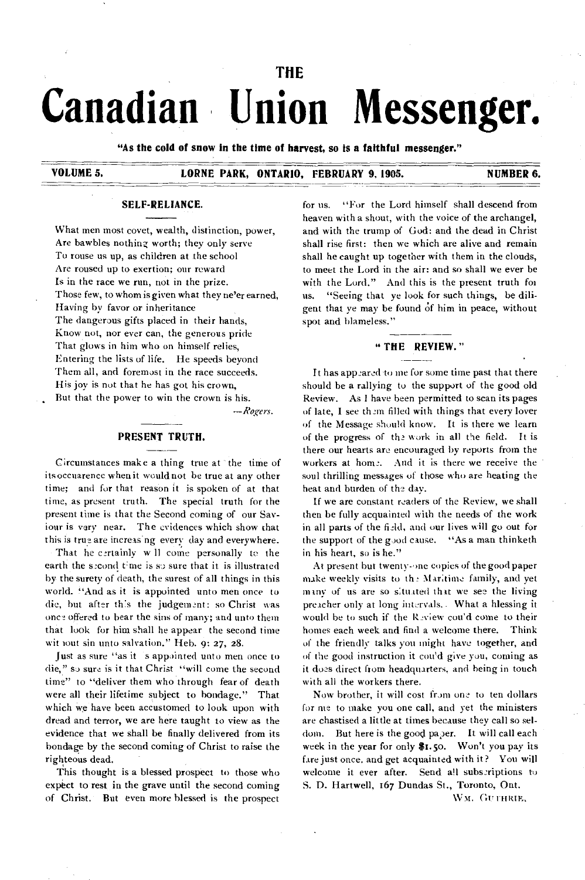# **THE Canadian Union Messenger.**

**"As the cold of snow in the time of harvest, so is a faithful messenger."** 

**VOLUME 5. LORNE PARK, ONTARIO, FEBRUARY 9, 1905. NUMBER 6.** 

#### **SELF-RELIANCE.**

What men most covet, wealth, distinction, power, Are bawbles nothing worth; they only serve To rouse us up, as children at the school Are roused up to exertion; our reward Is in the race we run, not in the prize. Those few, to whom is given what they ne'er earned, Having by favor or inheritance The dangerous gifts placed in their hands, Know not, nor ever can, the generous pride That glows in him who on himself relies, Entering the lists of life. He speeds beyond Them all, and foremost in the race succeeds. His joy is not that he has got his crown,

But that the power to win the crown is his.

*—Rogers.* 

# **PRESENT TRUTH.**

**Circumstances** make a thing true at the time of its occuarence when it would not be true at any other time; and for that reason it is spoken of at that time, as present truth. The special truth for the present time is that the Second coming of our Saviour is vary near. The evidences which show that this is true are increas ng every day and everywhere.

That he certainly w 11 come personally to the earth the second time is so sure that it is illustrated by the surety of death, the surest of all things in this world. "And as it is appointed unto men once to die, but after th:s the judgement: so Christ was once offered to bear the sins of many; and unto them that look for him shall he appear the second time wit tout sin unto salvation." Heb. 9: 27, 28.

Just as sure "as it 's appointed unto men once to die," so sure is it that Christ "will come the second time" to "deliver them who through fear of death were all their lifetime subject to bondage." That which we have been accustomed to look upon with dread and terror, we are here taught to view as the evidence that we shall be finally delivered from its bondage by the second coming of Christ to raise the righteous dead.

This thought is a blessed prospect to those who expect to rest in the grave until the second coming of Christ. But even more blessed is the prospect for us. "For the Lord himself shall descend from heaven with a shout, with the voice of the archangel, and with the trump of God: and the dead in Christ shall rise first: then we which are alive and remain shall be caught up together with them in the clouds, to meet the Lord in the air: and so shall we ever be with the Lord." And this is the present truth for us. "Seeing that ye look for such things, be diligent that ye may be found of him in peace, without spot and blameless."

#### **" THE REVIEW."**

It has appeared to me for some time past that there should be a rallying to the support of the good old Review. As I have been permitted to scan its pages of late, I see them filled with things that every lover of the Message should know. It is there we learn of the progress of the work in all the field. It is there our hearts are encouraged by reports from the workers at home. And it is there we receive the soul thrilling messages of those who are heating the heat and burden of the day.

If we are constant readers of the Review, we shall then be fully acquainted with the needs of the work in all parts of the field, and our lives will go out for the support of the good cause. "As a man thinketh in his heart, so is he."

At present but twenty-one copies of the good paper make weekly visits to the Maritime family, and yet many of us are so situated that we see the living preacher only at long intervals.. What a blessing it would be to such if the Review cou'd come to their homes each week and find a welcome there. Think of the friendly talks you might have together, and of the good instruction it cou'd give you, coming as it does direct ftom headquarters, and being in touch with all the workers there.

Now brother, it will cost from one to ten dollars for me to make you one call, and yet the ministers are chastised a little at times because they call so seldom. But here is the good paper. It will call each week in the year for only \$1.5o. Won't you pay its fare just once. and get acquainted with it? You will welcome it ever after. Send all subscriptions to S. D. Hartwell, t67 Dundas St., Toronto, Ont.

WM. GUITHRIE,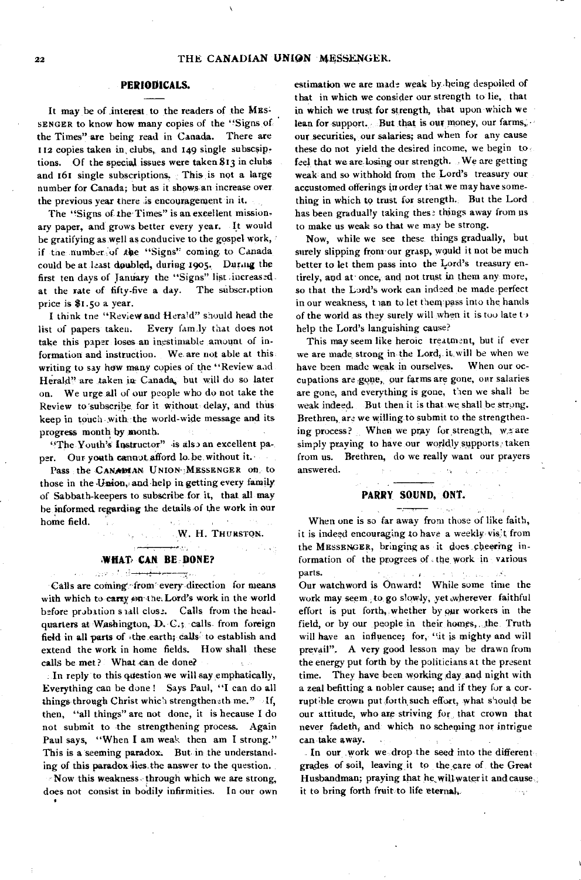#### PERIODICALS.

It may be of interest to the readers of the MES-SENGER to know how many copies of the "Signs, of the Times" are being read in Canada. There are 112 copies taken in clubs, and 149 single subscsiptions. Of the special issues were taken 813 in clubs and 161 single subscriptions, This is not a large number for Canada; but as it shows.an increase over the previous year there is encouragement in it.

The "Signs of the Times" is an excellent missionary paper, and grows better every year. It would be gratifying as well as conducive to the gospel work, if the number of the "Signs" coming to Canada could be at least doubled, during 1905. During the first ten days of January the "Signs" list increased. at the rate of fifty-five a day. The subscription price is \$1.50 a year.

I think tne "Review and Hera'd" should head the list of papers taken. Every fam.ly that does not take this paper loses an inestimable amount of information and instruction. We. are not able at this writing to say how many copies of the "Review and Herald" are taken in Canada, but will do so later on. We urge, all of our people who do not take the Review to subscribe for it without delay, and thus keep in touch-with the world-wide message and its progress month by month.

"The Youth's Instructor" is also an excellent paper. Our youth cannot afford lo.be, without it.

Pass the CANADIAN UNION-: MESSENGER on to those in the Union, and help in getting every family of Sabbath-keepers to subscribe for it, that all may he informed regarding the details of the work in our home field.  $\bar{1}$  .

W. H. THURSTON.

#### WHAT CAN BE DONE?

ردار طبيع

للم<del>ول المستحدة المستقلة ال</del>تحديد المتحدث المتحدة Calls are coming from every direction for means with which to carry on the. Lord's work in the world before probation s tall close. Calls from the headquarters at Washington, D. C.; calls. from foreign field in all parts of .the earth; calls' to establish and extend the work in home fields. How shall these calls be met? What can de done?

In reply to this question we will say emphatically, Everything can be done ! Says Paul, "I can do all things through Christ which strengtheneth me." If, then, "all things" are not done, it is because I do not submit to the strengthening process. Again Paul says, "When I am weak then am I strong." This is a seeming paradox. But. in the understanding of this paradox lies the answer to the question.

-Now this weakness, through which we are strong, does not consist in bodily infirmities. In our own estimation we are made weak by.heing despoiled of that in which we consider our strength to lie, that in which we trust for strength, that upon which we lean for support. But that is our money, our farms, **our** securities, our salaries; and when for any cause these do not yield the desired income, we begin to feel that we are losing our strength. . We are getting weak and so withhold from the Lord's treasury our accustomed offerings in order that we may have something in which to trust for strength. But the Lord has been gradually taking these things away from us to make us weak so that we may be strong.

Now, while we see these things gradually, but surely slipping from our grasp, would it not be much better to let them pass into the Lord's treasury entirely, and at' once, and not trust in them any more, so that the Lord's work can indeed be made perfect in our weakness, than to let them pass into the hands of the world as they surely will when it is too late to help the Lord's languishing cause?

This may seem like heroic treatment, but if ever we are made strong in the Lord, it will be when we have been made weak in ourselves. When our occupations are gone, our farms are gone, our salaries are gone, and everything is gone, then we shall be weak indeed. But then it is that we shall be strong. Brethren, are we willing to submit to the strengthening process? When we pray for strength,  $w_2$  are simply praying to have our worldly supports taken from us. Brethren, do we really want our prayers answered.  $\sim$   $\sim$ 

#### **PARRY SOUND, ONT.**

بيهارت الجا

When one is so far away from those of like faith, it is indeed encouraging to have a weekly- vis't from the MESSENGER, bringing as it does cheering information of the progrees of , the work in various parts. Contractor .<br>Prastawa na katika matangan

Our watchword is Onward! While some time the work may seem to go slowly, yet wherever faithful effort is put forth, whether by our workers in the field, or by our people in their homes,, the Truth will have an influence; for, "it is mighty and will prevail". A very good lesson may be drawn from the energy put forth by the politicians at the present time. They have been working day and night with a zeal befitting a nobler cause; and if they for a corruptible crown put forth,such effort, what should be our attitude, who are striving for that crown that never fadeth, and which no scheming nor intrigue can take away.

In our work we drop the seed into the different. grades of soil, leaving it to the care of the Great Husbandman; praying that he will water it and cause. it to bring forth fruit to life eternal,  $\mathcal{E}_{\mathcal{F},\mathcal{G},\mathcal{G}}$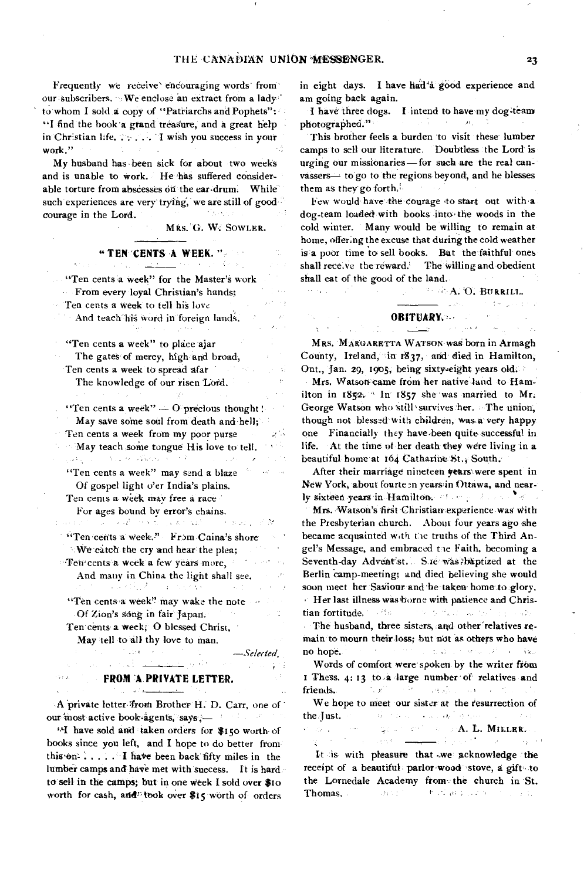ek egyiszt

Frequently we receive encouraging words from our subscribers. We enclose an extract from a lady to' whom I sold a copy of "Patriarchs and Pophets": "I find the book a grand treasure, and a great help in Christian life. . . . . . . I wish you success in your work."  $\epsilon^{-1}$ 

My husband has been sick for about two weeks and is unable to work. He has suffered considerable torture from abscesses on the ear-drum. While such experiences are very trying, we are still of good courage in the Lord. (大阪地の)

MRS. G. W. SOWLER.

## **" TEN 'CENTS A WEEK. "**-

"Ten cents a week" for the Master's work From every loyal Christian's hands;

Ten cents a week to tell his love

And teach his word in foreign lands.

"Ten cents a week" to place ajar

The gates of mercy, high and broad, Ten cents a week to spread afar The knowledge of our risen Lord.

"Ten cents a week"  $-$  O precious thought! May save some soul from death and hell;

Ten cents a week from my poor purse

May teach some tongue His love to tell. والمعروف والمستنقلة فالمعصوفة فعالى والمسترقص

"Ten cents a week" may send a blaze  $\Delta\phi^2=-\Delta\phi$ Of gospel light o'er India's plains.

Ten cents a week may free a race

For ages bound by error's chains,<br> $\mathbb{R}^3$  is the contract of the contract of the contract of the contract of the contract of the contract of the contract of the contract of the contract of the contract of the contract o

"Ten cents a week." From Caina's shore We catch the cry and hear the plea;

**Ten cents a week a few years more,** And many in China the light shall see.

"Ten cents a week" may wake the note Of Zion's song in fair Japan.  $\mathcal{I}^{\mathcal{A}}_{\mathcal{A}}$  ,  $\mathcal{I}^{\mathcal{A}}_{\mathcal{A}}$  ,  $\sim 1$ 

Ten cents a week; 0 blessed Christ, May tell to all thy love to man.

<u>المحيط المستعد</u>ات ال

—Selerted. 经中子的

gЩ

#### **FROM A PRIVATE LETTER.**

A private letter :from Brother H. D. Carr, one of our "most active book-agents, says,—

"I have sold and 'taken orders for \$150 worth of books since you left, and I hope to do better from this'on' I have been back fifty miles in the lumber camps and have met with success. It is hard to sell in the catnps; but in one Week I sold over \$to worth for cash, and<sup>p</sup> took over \$15 worth of orders

in eight days. I have harl'a. good experience and am going back again.

I have three dogs. I intend to have my dog-team<br>iotographed."  $\sim 100$ photographed."

This brother feels a burden to visit these lumber camps to sell our literature. Doubtless the Lord is urging our missionaries—for such are the real canvassers— to go to the regions beyond, and he blesses them as they go forth.

Few would have the courage to start out with a dog-team loaded with books into the woods in the cold winter. Many would be willing to remain at home, offering the excuse that during the cold weather is a poor time to sell books. But the faithful ones shall rece, ve the reward. The willing and obedient shall eat of the good of the land.

**A. O. BURRILL.** 

 $\langle \mu, \nu^{\mu}, \nu^{\nu} \rangle$  , where  $\mathcal{I} = \mathcal{I}(\sigma)$  ,  $\mu \in \mathcal{I}(\mathcal{I})$ 

### **OBITUARY.**

 $\mathcal{L}$ 

MRS. MARGARETTA WATsON wag born in Armagh County, Ireland, in 1837, and died in Hamilton, Ont., Jan. 29, 1905, being sixty-eight years old.

Mrs. Watson came from her native land to Hamilton in 1852. In 1857 she was married to Mr. George Watson who still survives her. The union, though not blessed with children, was.a very happy one Financially they have.been quite successful in life. At the time of her death they were living in a beautiful home at 164 Catharine St., South.

After their marriage nineteen years'were spent in New York, about fourteen years in Ottawa, and nearly sixteen years in Hamilton. All and the second of the

Mrs. Watson's first Christian experience was with the Presbyterian church. About four years ago she became acquainted with the truths of the Third Angel's Message, and embraced tie Faith, becoming a Seventh-day Advent'st. Sie was; baptized at the Berlin camp-meeting; and died believing she would soon meet her Saviour and be taken home to glory. Her last illness wasborne with patience and Christian fortitude. The Software world in the way. The husband, three sisters, and other relatives re-

main to mourn their loss; but not as others who have The common plan of whom the state no hope.

Words of comfort were spoken by the writer from I Thess. 4: 13 to a large number of relatives and WE'LL SEE THE CHARLES IN THE STATE OF friends.

We hope to meet our sisterat the resurrection of the Just. All the first consideration of the property of the second state of the second state of the second state of the second state of the second state of the second state of the second state of the second state of the s an de la compa

**A.** L. MILLER.

It is with pleasure that we acknowledge the receipt of a beautiful parlor wood stove, a gift to the Lornedale Academy from the church in St. Thomas. The device the final property of the political